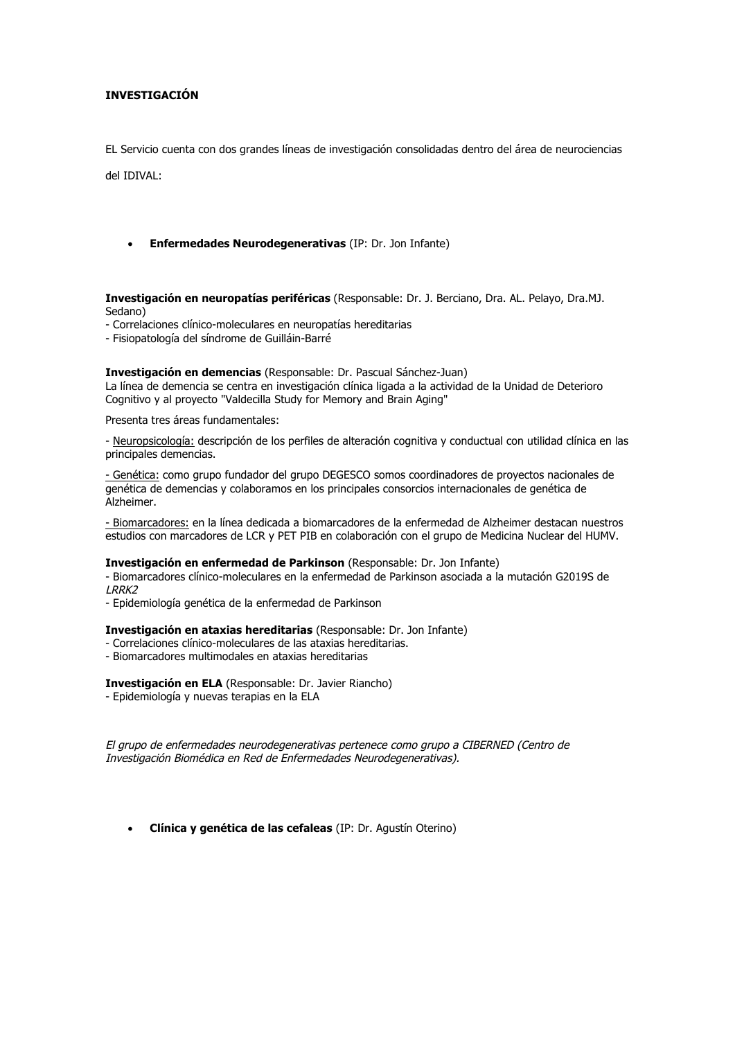# **INVESTIGACIÓN**

EL Servicio cuenta con dos grandes líneas de investigación consolidadas dentro del área de neurociencias

del IDIVAL:

## • **Enfermedades Neurodegenerativas** (IP: Dr. Jon Infante)

**Investigación en neuropatías periféricas** (Responsable: Dr. J. Berciano, Dra. AL. Pelayo, Dra.MJ. Sedano)

- Correlaciones clínico-moleculares en neuropatías hereditarias

- Fisiopatología del síndrome de Guilláin-Barré

**Investigación en demencias** (Responsable: Dr. Pascual Sánchez-Juan)

La línea de demencia se centra en investigación clínica ligada a la actividad de la Unidad de Deterioro Cognitivo y al proyecto "Valdecilla Study for Memory and Brain Aging"

Presenta tres áreas fundamentales:

- Neuropsicología: descripción de los perfiles de alteración cognitiva y conductual con utilidad clínica en las principales demencias.

- Genética: como grupo fundador del grupo DEGESCO somos coordinadores de proyectos nacionales de genética de demencias y colaboramos en los principales consorcios internacionales de genética de Alzheimer.

- Biomarcadores: en la línea dedicada a biomarcadores de la enfermedad de Alzheimer destacan nuestros estudios con marcadores de LCR y PET PIB en colaboración con el grupo de Medicina Nuclear del HUMV.

## **Investigación en enfermedad de Parkinson** (Responsable: Dr. Jon Infante)

- Biomarcadores clínico-moleculares en la enfermedad de Parkinson asociada a la mutación G2019S de LRRK2

- Epidemiología genética de la enfermedad de Parkinson

**Investigación en ataxias hereditarias** (Responsable: Dr. Jon Infante)

- Correlaciones clínico-moleculares de las ataxias hereditarias.
- Biomarcadores multimodales en ataxias hereditarias

**Investigación en ELA** (Responsable: Dr. Javier Riancho)

- Epidemiología y nuevas terapias en la ELA

El grupo de enfermedades neurodegenerativas pertenece como grupo a CIBERNED (Centro de Investigación Biomédica en Red de Enfermedades Neurodegenerativas).

• **Clínica y genética de las cefaleas** (IP: Dr. Agustín Oterino)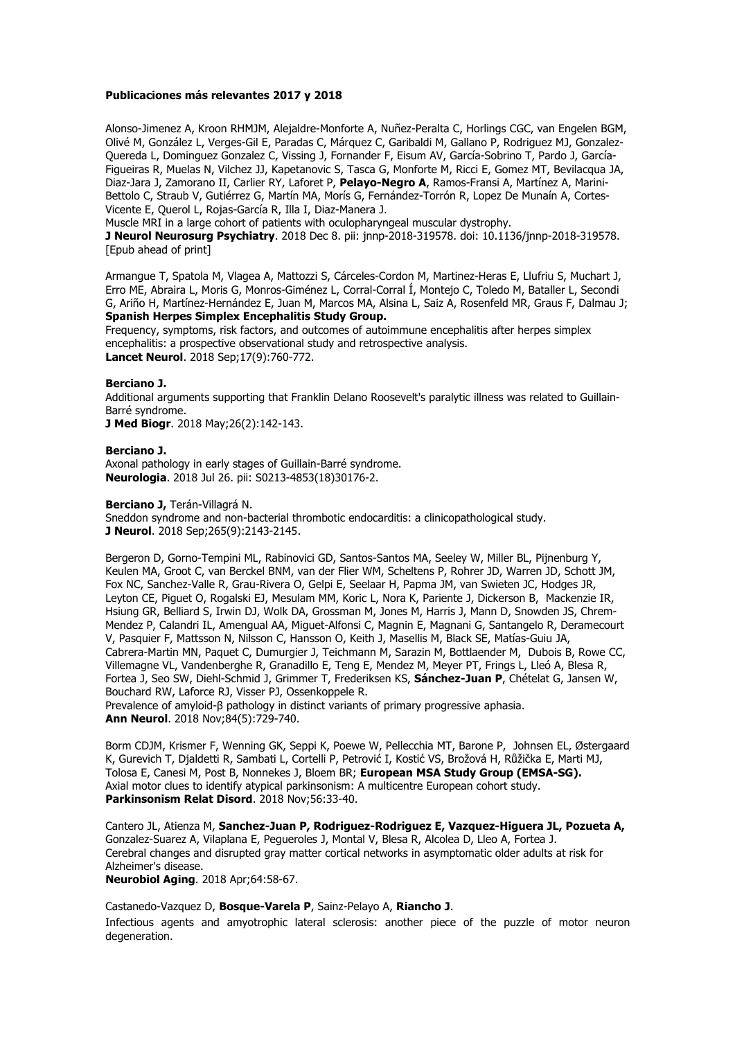### **Publicaciones más relevantes 2017 y 2018**

Alonso-Jimenez A, Kroon RHMJM, Alejaldre-Monforte A, Nuñez-Peralta C, Horlings CGC, van Engelen BGM, Olivé M, González L, Verges-Gil E, Paradas C, Márquez C, Garibaldi M, Gallano P, Rodriguez MJ, Gonzalez-Quereda L, Dominguez Gonzalez C, Vissing J, Fornander F, Eisum AV, García-Sobrino T, Pardo J, García-Figueiras R, Muelas N, Vilchez JJ, Kapetanovic S, Tasca G, Monforte M, Ricci E, Gomez MT, Bevilacqua JA, Diaz-Jara J, Zamorano II, Carlier RY, Laforet P, **Pelayo-Negro A**, Ramos-Fransi A, Martínez A, Marini-Bettolo C, Straub V, Gutiérrez G, Martín MA, Morís G, Fernández-Torrón R, Lopez De Munaín A, Cortes-Vicente E, Querol L, Rojas-García R, Illa I, Diaz-Manera J.

Muscle MRI in a large cohort of patients with oculopharyngeal muscular dystrophy.

**J Neurol Neurosurg Psychiatry**. 2018 Dec 8. pii: jnnp-2018-319578. doi: 10.1136/jnnp-2018-319578. [Epub ahead of print]

Armangue T, Spatola M, Vlagea A, Mattozzi S, Cárceles-Cordon M, Martinez-Heras E, Llufriu S, Muchart J, Erro ME, Abraira L, Moris G, Monros-Giménez L, Corral-Corral Í, Montejo C, Toledo M, Bataller L, Secondi G, Ariño H, Martínez-Hernández E, Juan M, Marcos MA, Alsina L, Saiz A, Rosenfeld MR, Graus F, Dalmau J; **Spanish Herpes Simplex Encephalitis Study Group.**

Frequency, symptoms, risk factors, and outcomes of autoimmune encephalitis after herpes simplex encephalitis: a prospective observational study and retrospective analysis. **Lancet Neurol**. 2018 Sep;17(9):760-772.

### **Berciano J.**

Additional arguments supporting that Franklin Delano Roosevelt's paralytic illness was related to Guillain-Barré syndrome.

**J Med Biogr**. 2018 May;26(2):142-143.

### **Berciano J.**

Axonal pathology in early stages of Guillain-Barré syndrome. **Neurologia**. 2018 Jul 26. pii: S0213-4853(18)30176-2.

**Berciano J,** Terán-Villagrá N.

Sneddon syndrome and non-bacterial thrombotic endocarditis: a clinicopathological study. **J Neurol**. 2018 Sep;265(9):2143-2145.

Bergeron D, Gorno-Tempini ML, Rabinovici GD, Santos-Santos MA, Seeley W, Miller BL, Pijnenburg Y, Keulen MA, Groot C, van Berckel BNM, van der Flier WM, Scheltens P, Rohrer JD, Warren JD, Schott JM, Fox NC, Sanchez-Valle R, Grau-Rivera O, Gelpi E, Seelaar H, Papma JM, van Swieten JC, Hodges JR, Leyton CE, Piguet O, Rogalski EJ, Mesulam MM, Koric L, Nora K, Pariente J, Dickerson B, Mackenzie IR, Hsiung GR, Belliard S, Irwin DJ, Wolk DA, Grossman M, Jones M, Harris J, Mann D, Snowden JS, Chrem-Mendez P, Calandri IL, Amengual AA, Miguet-Alfonsi C, Magnin E, Magnani G, Santangelo R, Deramecourt V, Pasquier F, Mattsson N, Nilsson C, Hansson O, Keith J, Masellis M, Black SE, Matías-Guiu JA, Cabrera-Martin MN, Paquet C, Dumurgier J, Teichmann M, Sarazin M, Bottlaender M, Dubois B, Rowe CC, Villemagne VL, Vandenberghe R, Granadillo E, Teng E, Mendez M, Meyer PT, Frings L, Lleó A, Blesa R, Fortea J, Seo SW, Diehl-Schmid J, Grimmer T, Frederiksen KS, **Sánchez-Juan P**, Chételat G, Jansen W, Bouchard RW, Laforce RJ, Visser PJ, Ossenkoppele R.

Prevalence of amyloid-β pathology in distinct variants of primary progressive aphasia. **Ann Neurol**. 2018 Nov;84(5):729-740.

Borm CDJM, Krismer F, Wenning GK, Seppi K, Poewe W, Pellecchia MT, Barone P, Johnsen EL, Østergaard K, Gurevich T, Djaldetti R, Sambati L, Cortelli P, Petrović I, Kostić VS, Brožová H, Růžička E, Marti MJ, Tolosa E, Canesi M, Post B, Nonnekes J, Bloem BR; **European MSA Study Group (EMSA-SG).** Axial motor clues to identify atypical parkinsonism: A multicentre European cohort study. **Parkinsonism Relat Disord**. 2018 Nov;56:33-40.

Cantero JL, Atienza M, **Sanchez-Juan P, Rodriguez-Rodriguez E, Vazquez-Higuera JL, Pozueta A,** Gonzalez-Suarez A, Vilaplana E, Pegueroles J, Montal V, Blesa R, Alcolea D, Lleo A, Fortea J. Cerebral changes and disrupted gray matter cortical networks in asymptomatic older adults at risk for Alzheimer's disease. **Neurobiol Aging**. 2018 Apr;64:58-67.

Castanedo-Vazquez D, **Bosque-Varela P**, Sainz-Pelayo A, **Riancho J**.

Infectious agents and amyotrophic lateral sclerosis: another piece of the puzzle of motor neuron degeneration.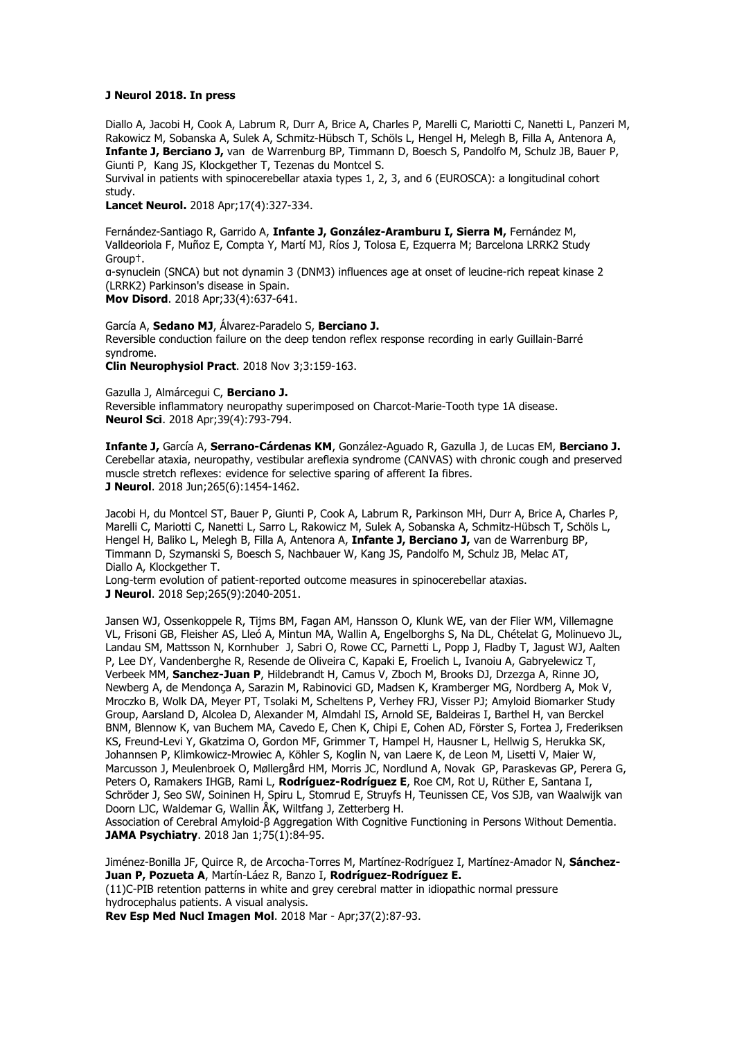### **J Neurol 2018. In press**

Diallo A, Jacobi H, Cook A, Labrum R, Durr A, Brice A, Charles P, Marelli C, Mariotti C, Nanetti L, Panzeri M, Rakowicz M, Sobanska A, Sulek A, Schmitz-Hübsch T, Schöls L, Hengel H, Melegh B, Filla A, Antenora A, **Infante J, Berciano J,** van de Warrenburg BP, Timmann D, Boesch S, Pandolfo M, Schulz JB, Bauer P, Giunti P, Kang JS, Klockgether T, Tezenas du Montcel S.

Survival in patients with spinocerebellar ataxia types 1, 2, 3, and 6 (EUROSCA): a longitudinal cohort study.

**Lancet Neurol.** 2018 Apr;17(4):327-334.

Fernández-Santiago R, Garrido A, **Infante J, González-Aramburu I, Sierra M,** Fernández M, Valldeoriola F, Muñoz E, Compta Y, Martí MJ, Ríos J, Tolosa E, Ezquerra M; Barcelona LRRK2 Study Group†.

α-synuclein (SNCA) but not dynamin 3 (DNM3) influences age at onset of leucine-rich repeat kinase 2 (LRRK2) Parkinson's disease in Spain.

**Mov Disord**. 2018 Apr;33(4):637-641.

García A, **Sedano MJ**, Álvarez-Paradelo S, **Berciano J.** Reversible conduction failure on the deep tendon reflex response recording in early Guillain-Barré syndrome.

**Clin Neurophysiol Pract**. 2018 Nov 3;3:159-163.

Gazulla J, Almárcegui C, **Berciano J.**

Reversible inflammatory neuropathy superimposed on Charcot-Marie-Tooth type 1A disease. **Neurol Sci**. 2018 Apr;39(4):793-794.

**Infante J,** García A, **Serrano-Cárdenas KM**, González-Aguado R, Gazulla J, de Lucas EM, **Berciano J.** Cerebellar ataxia, neuropathy, vestibular areflexia syndrome (CANVAS) with chronic cough and preserved muscle stretch reflexes: evidence for selective sparing of afferent Ia fibres. **J Neurol**. 2018 Jun;265(6):1454-1462.

Jacobi H, du Montcel ST, Bauer P, Giunti P, Cook A, Labrum R, Parkinson MH, Durr A, Brice A, Charles P, Marelli C, Mariotti C, Nanetti L, Sarro L, Rakowicz M, Sulek A, Sobanska A, Schmitz-Hübsch T, Schöls L, Hengel H, Baliko L, Melegh B, Filla A, Antenora A, **Infante J, Berciano J,** van de Warrenburg BP, Timmann D, Szymanski S, Boesch S, Nachbauer W, Kang JS, Pandolfo M, Schulz JB, Melac AT, Diallo A, Klockgether T.

Long-term evolution of patient-reported outcome measures in spinocerebellar ataxias. **J Neurol**. 2018 Sep;265(9):2040-2051.

Jansen WJ, Ossenkoppele R, Tijms BM, Fagan AM, Hansson O, Klunk WE, van der Flier WM, Villemagne VL, Frisoni GB, Fleisher AS, Lleó A, Mintun MA, Wallin A, Engelborghs S, Na DL, Chételat G, Molinuevo JL, Landau SM, Mattsson N, Kornhuber J, Sabri O, Rowe CC, Parnetti L, Popp J, Fladby T, Jagust WJ, Aalten P, Lee DY, Vandenberghe R, Resende de Oliveira C, Kapaki E, Froelich L, Ivanoiu A, Gabryelewicz T, Verbeek MM, **Sanchez-Juan P**, Hildebrandt H, Camus V, Zboch M, Brooks DJ, Drzezga A, Rinne JO, Newberg A, de Mendonça A, Sarazin M, Rabinovici GD, Madsen K, Kramberger MG, Nordberg A, Mok V, Mroczko B, Wolk DA, Meyer PT, Tsolaki M, Scheltens P, Verhey FRJ, Visser PJ; Amyloid Biomarker Study Group, Aarsland D, Alcolea D, Alexander M, Almdahl IS, Arnold SE, Baldeiras I, Barthel H, van Berckel BNM, Blennow K, van Buchem MA, Cavedo E, Chen K, Chipi E, Cohen AD, Förster S, Fortea J, Frederiksen KS, Freund-Levi Y, Gkatzima O, Gordon MF, Grimmer T, Hampel H, Hausner L, Hellwig S, Herukka SK, Johannsen P, Klimkowicz-Mrowiec A, Köhler S, Koglin N, van Laere K, de Leon M, Lisetti V, Maier W, Marcusson J, Meulenbroek O, Møllergård HM, Morris JC, Nordlund A, Novak GP, Paraskevas GP, Perera G, Peters O, Ramakers IHGB, Rami L, **Rodríguez-Rodríguez E**, Roe CM, Rot U, Rüther E, Santana I, Schröder J, Seo SW, Soininen H, Spiru L, Stomrud E, Struyfs H, Teunissen CE, Vos SJB, van Waalwijk van Doorn LJC, Waldemar G, Wallin ÅK, Wiltfang J, Zetterberg H.

Association of Cerebral Amyloid-β Aggregation With Cognitive Functioning in Persons Without Dementia. **JAMA Psychiatry**. 2018 Jan 1;75(1):84-95.

Jiménez-Bonilla JF, Quirce R, de Arcocha-Torres M, Martínez-Rodríguez I, Martínez-Amador N, **Sánchez-Juan P, Pozueta A**, Martín-Láez R, Banzo I, **Rodríguez-Rodríguez E.**  (11)C-PIB retention patterns in white and grey cerebral matter in idiopathic normal pressure hydrocephalus patients. A visual analysis.

**Rev Esp Med Nucl Imagen Mol**. 2018 Mar - Apr;37(2):87-93.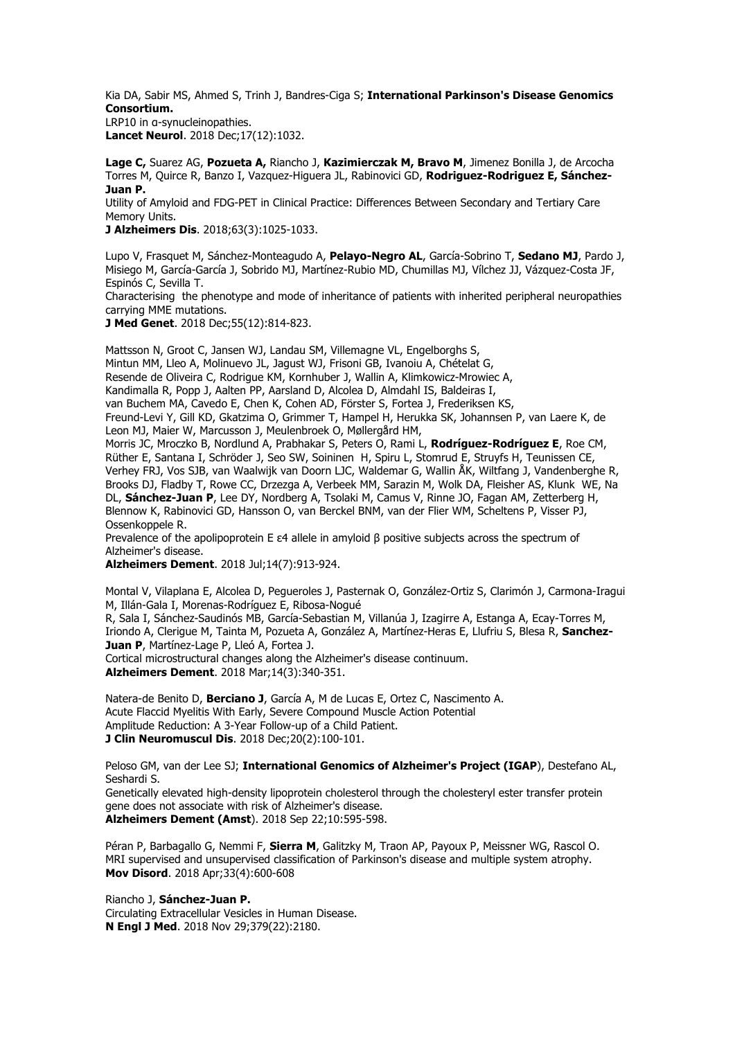Kia DA, Sabir MS, Ahmed S, Trinh J, Bandres-Ciga S; **International Parkinson's Disease Genomics Consortium.** 

LRP10 in α-synucleinopathies.

**Lancet Neurol**. 2018 Dec;17(12):1032.

**Lage C,** Suarez AG, **Pozueta A,** Riancho J, **Kazimierczak M, Bravo M**, Jimenez Bonilla J, de Arcocha Torres M, Quirce R, Banzo I, Vazquez-Higuera JL, Rabinovici GD, **Rodriguez-Rodriguez E, Sánchez-Juan P.** 

Utility of Amyloid and FDG-PET in Clinical Practice: Differences Between Secondary and Tertiary Care Memory Units.

**J Alzheimers Dis**. 2018;63(3):1025-1033.

Lupo V, Frasquet M, Sánchez-Monteagudo A, **Pelayo-Negro AL**, García-Sobrino T, **Sedano MJ**, Pardo J, Misiego M, García-García J, Sobrido MJ, Martínez-Rubio MD, Chumillas MJ, Vílchez JJ, Vázquez-Costa JF, Espinós C, Sevilla T.

Characterising the phenotype and mode of inheritance of patients with inherited peripheral neuropathies carrying MME mutations.

**J Med Genet**. 2018 Dec;55(12):814-823.

Mattsson N, Groot C, Jansen WJ, Landau SM, Villemagne VL, Engelborghs S. Mintun MM, Lleo A, Molinuevo JL, Jagust WJ, Frisoni GB, Ivanoiu A, Chételat G, Resende de Oliveira C, Rodrigue KM, Kornhuber J, Wallin A, Klimkowicz-Mrowiec A, Kandimalla R, Popp J, Aalten PP, Aarsland D, Alcolea D, Almdahl IS, Baldeiras I, van Buchem MA, Cavedo E, Chen K, Cohen AD, Förster S, Fortea J, Frederiksen KS, Freund-Levi Y, Gill KD, Gkatzima O, Grimmer T, Hampel H, Herukka SK, Johannsen P, van Laere K, de Leon MJ, Maier W, Marcusson J, Meulenbroek O, Møllergård HM, Morris JC, Mroczko B, Nordlund A, Prabhakar S, Peters O, Rami L, **Rodríguez-Rodríguez E**, Roe CM, Rüther E, Santana I, Schröder J, Seo SW, Soininen H, Spiru L, Stomrud E, Struyfs H, Teunissen CE, Verhey FRJ, Vos SJB, van Waalwijk van Doorn LJC, Waldemar G, Wallin ÅK, Wiltfang J, Vandenberghe R, Brooks DJ, Fladby T, Rowe CC, Drzezga A, Verbeek MM, Sarazin M, Wolk DA, Fleisher AS, Klunk WE, Na DL, **Sánchez-Juan P**, Lee DY, Nordberg A, Tsolaki M, Camus V, Rinne JO, Fagan AM, Zetterberg H, Blennow K, Rabinovici GD, Hansson O, van Berckel BNM, van der Flier WM, Scheltens P, Visser PJ, Ossenkoppele R.

Prevalence of the apolipoprotein E ε4 allele in amyloid β positive subjects across the spectrum of Alzheimer's disease.

**Alzheimers Dement**. 2018 Jul;14(7):913-924.

Montal V, Vilaplana E, Alcolea D, Pegueroles J, Pasternak O, González-Ortiz S, Clarimón J, Carmona-Iragui M, Illán-Gala I, Morenas-Rodríguez E, Ribosa-Nogué

R, Sala I, Sánchez-Saudinós MB, García-Sebastian M, Villanúa J, Izagirre A, Estanga A, Ecay-Torres M, Iriondo A, Clerigue M, Tainta M, Pozueta A, González A, Martínez-Heras E, Llufriu S, Blesa R, **Sanchez-Juan P**, Martínez-Lage P, Lleó A, Fortea J.

Cortical microstructural changes along the Alzheimer's disease continuum. **Alzheimers Dement**. 2018 Mar;14(3):340-351.

Natera-de Benito D, **Berciano J**, García A, M de Lucas E, Ortez C, Nascimento A. Acute Flaccid Myelitis With Early, Severe Compound Muscle Action Potential Amplitude Reduction: A 3-Year Follow-up of a Child Patient. **J Clin Neuromuscul Dis**. 2018 Dec;20(2):100-101.

Peloso GM, van der Lee SJ; **International Genomics of Alzheimer's Project (IGAP**), Destefano AL, Seshardi S.

Genetically elevated high-density lipoprotein cholesterol through the cholesteryl ester transfer protein gene does not associate with risk of Alzheimer's disease.

**Alzheimers Dement (Amst**). 2018 Sep 22;10:595-598.

Péran P, Barbagallo G, Nemmi F, **Sierra M**, Galitzky M, Traon AP, Payoux P, Meissner WG, Rascol O. MRI supervised and unsupervised classification of Parkinson's disease and multiple system atrophy. **Mov Disord**. 2018 Apr;33(4):600-608

Riancho J, **Sánchez-Juan P.** Circulating Extracellular Vesicles in Human Disease. **N Engl J Med**. 2018 Nov 29;379(22):2180.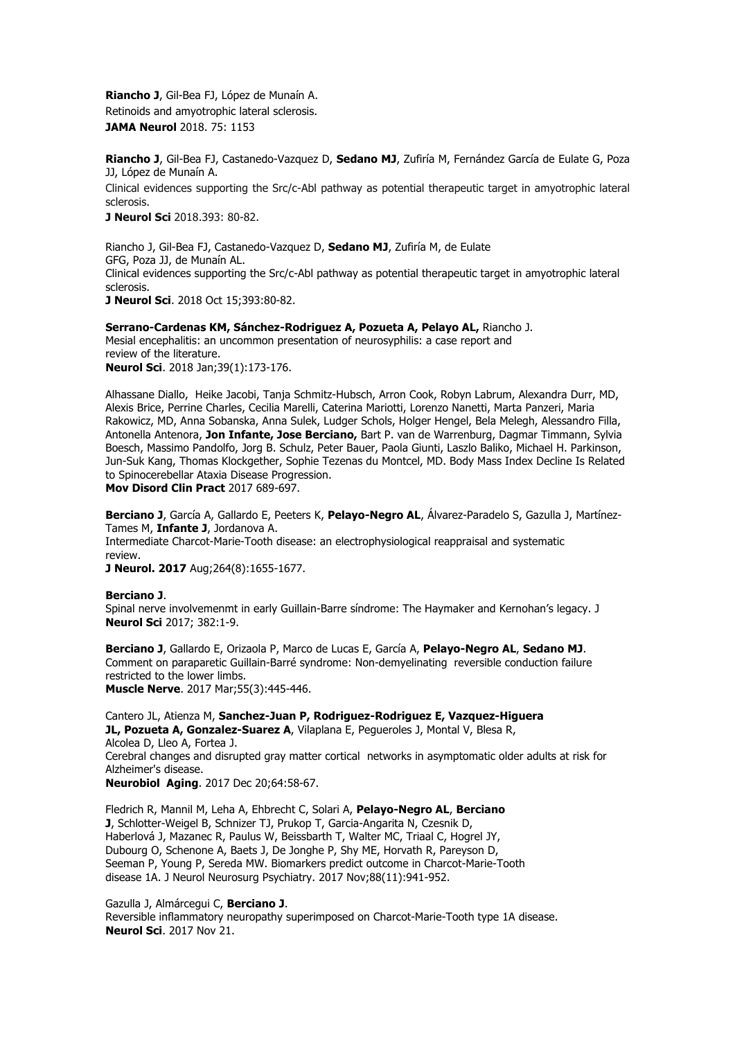**Riancho J**, Gil-Bea FJ, López de Munaín A. Retinoids and amyotrophic lateral sclerosis. **JAMA Neurol** 2018. 75: 1153

**Riancho J**, Gil-Bea FJ, Castanedo-Vazquez D, **Sedano MJ**, Zufiría M, Fernández García de Eulate G, Poza JJ, López de Munaín A.

Clinical evidences supporting the Src/c-Abl pathway as potential therapeutic target in amyotrophic lateral sclerosis.

**J Neurol Sci** 2018.393: 80-82.

Riancho J, Gil-Bea FJ, Castanedo-Vazquez D, **Sedano MJ**, Zufiría M, de Eulate GFG, Poza JJ, de Munaín AL. Clinical evidences supporting the Src/c-Abl pathway as potential therapeutic target in amyotrophic lateral sclerosis.

**J Neurol Sci**. 2018 Oct 15;393:80-82.

**Serrano-Cardenas KM, Sánchez-Rodriguez A, Pozueta A, Pelayo AL,** Riancho J. Mesial encephalitis: an uncommon presentation of neurosyphilis: a case report and review of the literature. **Neurol Sci**. 2018 Jan;39(1):173-176.

Alhassane Diallo, Heike Jacobi, Tanja Schmitz-Hubsch, Arron Cook, Robyn Labrum, Alexandra Durr, MD, Alexis Brice, Perrine Charles, Cecilia Marelli, Caterina Mariotti, Lorenzo Nanetti, Marta Panzeri, Maria Rakowicz, MD, Anna Sobanska, Anna Sulek, Ludger Schols, Holger Hengel, Bela Melegh, Alessandro Filla, Antonella Antenora, **Jon Infante, Jose Berciano,** Bart P. van de Warrenburg, Dagmar Timmann, Sylvia Boesch, Massimo Pandolfo, Jorg B. Schulz, Peter Bauer, Paola Giunti, Laszlo Baliko, Michael H. Parkinson, Jun-Suk Kang, Thomas Klockgether, Sophie Tezenas du Montcel, MD. Body Mass Index Decline Is Related to Spinocerebellar Ataxia Disease Progression. **Mov Disord Clin Pract** 2017 689-697.

**Berciano J**, García A, Gallardo E, Peeters K, **Pelayo-Negro AL**, Álvarez-Paradelo S, Gazulla J, Martínez-Tames M, **Infante J**, Jordanova A. Intermediate Charcot-Marie-Tooth disease: an electrophysiological reappraisal and systematic review.

**J Neurol. 2017** Aug;264(8):1655-1677.

#### **Berciano J**.

Spinal nerve involvemenmt in early Guillain-Barre síndrome: The Haymaker and Kernohan's legacy. J **Neurol Sci** 2017; 382:1-9.

**Berciano J**, Gallardo E, Orizaola P, Marco de Lucas E, García A, **Pelayo-Negro AL**, **Sedano MJ**. Comment on paraparetic Guillain-Barré syndrome: Non-demyelinating reversible conduction failure restricted to the lower limbs. **Muscle Nerve**. 2017 Mar;55(3):445-446.

Cantero JL, Atienza M, **Sanchez-Juan P, Rodriguez-Rodriguez E, Vazquez-Higuera JL, Pozueta A, Gonzalez-Suarez A**, Vilaplana E, Pegueroles J, Montal V, Blesa R, Alcolea D, Lleo A, Fortea J. Cerebral changes and disrupted gray matter cortical networks in asymptomatic older adults at risk for Alzheimer's disease.

**Neurobiol Aging**. 2017 Dec 20;64:58-67.

Fledrich R, Mannil M, Leha A, Ehbrecht C, Solari A, **Pelayo-Negro AL**, **Berciano J**, Schlotter-Weigel B, Schnizer TJ, Prukop T, Garcia-Angarita N, Czesnik D, Haberlová J, Mazanec R, Paulus W, Beissbarth T, Walter MC, Triaal C, Hogrel JY, Dubourg O, Schenone A, Baets J, De Jonghe P, Shy ME, Horvath R, Pareyson D, Seeman P, Young P, Sereda MW. Biomarkers predict outcome in Charcot-Marie-Tooth disease 1A. J Neurol Neurosurg Psychiatry. 2017 Nov;88(11):941-952.

Gazulla J, Almárcegui C, **Berciano J**.

Reversible inflammatory neuropathy superimposed on Charcot-Marie-Tooth type 1A disease. **Neurol Sci**. 2017 Nov 21.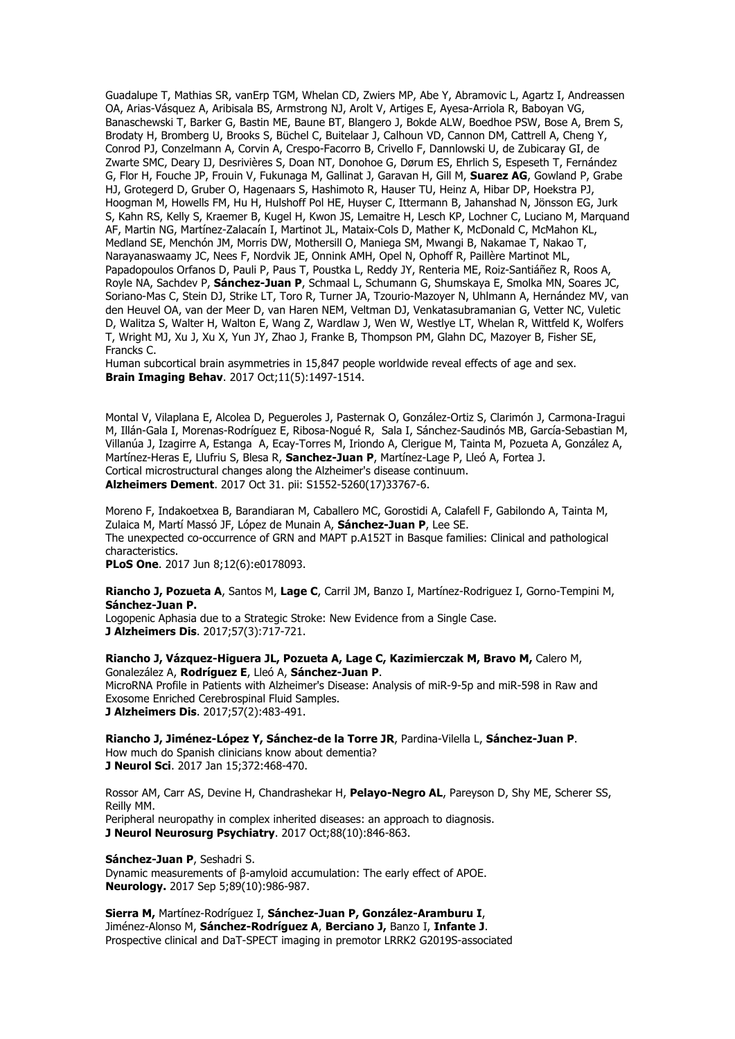Guadalupe T, Mathias SR, vanErp TGM, Whelan CD, Zwiers MP, Abe Y, Abramovic L, Agartz I, Andreassen OA, Arias-Vásquez A, Aribisala BS, Armstrong NJ, Arolt V, Artiges E, Ayesa-Arriola R, Baboyan VG, Banaschewski T, Barker G, Bastin ME, Baune BT, Blangero J, Bokde ALW, Boedhoe PSW, Bose A, Brem S, Brodaty H, Bromberg U, Brooks S, Büchel C, Buitelaar J, Calhoun VD, Cannon DM, Cattrell A, Cheng Y, Conrod PJ, Conzelmann A, Corvin A, Crespo-Facorro B, Crivello F, Dannlowski U, de Zubicaray GI, de Zwarte SMC, Deary IJ, Desrivières S, Doan NT, Donohoe G, Dørum ES, Ehrlich S, Espeseth T, Fernández G, Flor H, Fouche JP, Frouin V, Fukunaga M, Gallinat J, Garavan H, Gill M, **Suarez AG**, Gowland P, Grabe HJ, Grotegerd D, Gruber O, Hagenaars S, Hashimoto R, Hauser TU, Heinz A, Hibar DP, Hoekstra PJ, Hoogman M, Howells FM, Hu H, Hulshoff Pol HE, Huyser C, Ittermann B, Jahanshad N, Jönsson EG, Jurk S, Kahn RS, Kelly S, Kraemer B, Kugel H, Kwon JS, Lemaitre H, Lesch KP, Lochner C, Luciano M, Marquand AF, Martin NG, Martínez-Zalacaín I, Martinot JL, Mataix-Cols D, Mather K, McDonald C, McMahon KL, Medland SE, Menchón JM, Morris DW, Mothersill O, Maniega SM, Mwangi B, Nakamae T, Nakao T, Narayanaswaamy JC, Nees F, Nordvik JE, Onnink AMH, Opel N, Ophoff R, Paillère Martinot ML, Papadopoulos Orfanos D, Pauli P, Paus T, Poustka L, Reddy JY, Renteria ME, Roiz-Santiáñez R, Roos A, Royle NA, Sachdev P, **Sánchez-Juan P**, Schmaal L, Schumann G, Shumskaya E, Smolka MN, Soares JC, Soriano-Mas C, Stein DJ, Strike LT, Toro R, Turner JA, Tzourio-Mazoyer N, Uhlmann A, Hernández MV, van den Heuvel OA, van der Meer D, van Haren NEM, Veltman DJ, Venkatasubramanian G, Vetter NC, Vuletic D, Walitza S, Walter H, Walton E, Wang Z, Wardlaw J, Wen W, Westlye LT, Whelan R, Wittfeld K, Wolfers T, Wright MJ, Xu J, Xu X, Yun JY, Zhao J, Franke B, Thompson PM, Glahn DC, Mazoyer B, Fisher SE, Francks C.

Human subcortical brain asymmetries in 15,847 people worldwide reveal effects of age and sex. **Brain Imaging Behav**. 2017 Oct;11(5):1497-1514.

Montal V, Vilaplana E, Alcolea D, Pegueroles J, Pasternak O, González-Ortiz S, Clarimón J, Carmona-Iragui M, Illán-Gala I, Morenas-Rodríguez E, Ribosa-Nogué R, Sala I, Sánchez-Saudinós MB, García-Sebastian M, Villanúa J, Izagirre A, Estanga A, Ecay-Torres M, Iriondo A, Clerigue M, Tainta M, Pozueta A, González A, Martínez-Heras E, Llufriu S, Blesa R, **Sanchez-Juan P**, Martínez-Lage P, Lleó A, Fortea J. Cortical microstructural changes along the Alzheimer's disease continuum. **Alzheimers Dement**. 2017 Oct 31. pii: S1552-5260(17)33767-6.

Moreno F, Indakoetxea B, Barandiaran M, Caballero MC, Gorostidi A, Calafell F, Gabilondo A, Tainta M, Zulaica M, Martí Massó JF, López de Munain A, **Sánchez-Juan P**, Lee SE. The unexpected co-occurrence of GRN and MAPT p.A152T in Basque families: Clinical and pathological characteristics.

**PLoS One**. 2017 Jun 8;12(6):e0178093.

**Riancho J, Pozueta A**, Santos M, **Lage C**, Carril JM, Banzo I, Martínez-Rodriguez I, Gorno-Tempini M, **Sánchez-Juan P.**

Logopenic Aphasia due to a Strategic Stroke: New Evidence from a Single Case. **J Alzheimers Dis**. 2017;57(3):717-721.

**Riancho J, Vázquez-Higuera JL, Pozueta A, Lage C, Kazimierczak M, Bravo M,** Calero M, Gonalezález A, **Rodríguez E**, Lleó A, **Sánchez-Juan P**.

MicroRNA Profile in Patients with Alzheimer's Disease: Analysis of miR-9-5p and miR-598 in Raw and Exosome Enriched Cerebrospinal Fluid Samples. **J Alzheimers Dis**. 2017;57(2):483-491.

**Riancho J, Jiménez-López Y, Sánchez-de la Torre JR**, Pardina-Vilella L, **Sánchez-Juan P**. How much do Spanish clinicians know about dementia? **J Neurol Sci**. 2017 Jan 15;372:468-470.

Rossor AM, Carr AS, Devine H, Chandrashekar H, **Pelayo-Negro AL**, Pareyson D, Shy ME, Scherer SS, Reilly MM.

Peripheral neuropathy in complex inherited diseases: an approach to diagnosis. **J Neurol Neurosurg Psychiatry**. 2017 Oct;88(10):846-863.

**Sánchez-Juan P**, Seshadri S.

Dynamic measurements of β-amyloid accumulation: The early effect of APOE. **Neurology.** 2017 Sep 5;89(10):986-987.

**Sierra M,** Martínez-Rodríguez I, **Sánchez-Juan P, González-Aramburu I**, Jiménez-Alonso M, **Sánchez-Rodríguez A**, **Berciano J,** Banzo I, **Infante J**. Prospective clinical and DaT-SPECT imaging in premotor LRRK2 G2019S-associated